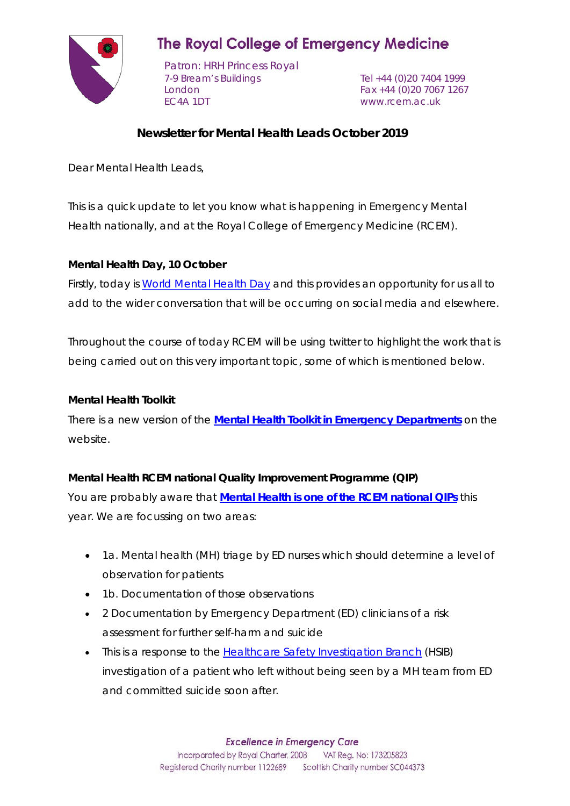

# **The Royal College of Emergency Medicine**

Patron: HRH Princess Royal 7-9 Bream's Buildings Tel +44 (0)20 7404 1999 London Fax +44 (0)20 7067 1267 EC4A 1DT www.rcem.ac.uk

## **Newsletter for Mental Health Leads October 2019**

Dear Mental Health Leads,

This is a quick update to let you know what is happening in Emergency Mental Health nationally, and at the Royal College of Emergency Medicine (RCEM).

## **Mental Health Day, 10 October**

Firstly, today is [World Mental Health Day](https://www.time-to-change.org.uk/get-involved/get-your-workplace-involved/resources/mental-health-calendar/wmhd) and this provides an opportunity for us all to add to the wider conversation that will be occurring on social media and elsewhere.

Throughout the course of today RCEM will be using twitter to highlight the work that is being carried out on this very important topic, some of which is mentioned below.

#### **Mental Health Toolkit**

There is a new version of the **Mental Health Toolkit [in Emergency Departments](https://www.rcem.ac.uk/docs/RCEM%20Guidance/Mental%20Health%20Toolkit%202019%20-%20Final%20.pdf)** on the website.

## **Mental Health RCEM national Quality Improvement Programme (QIP)**

You are probably aware that **[Mental Health is one of the RCEM national QIPs](http://www.rcem.ac.uk/docs/QI%20+%20Clinical%20Audit/Mental%20health%20audit%20information%20pack%20(22%20Aug%202019).pdf)** this year. We are focussing on two areas:

- 1a. Mental health (MH) triage by ED nurses which should determine a level of observation for patients
- 1b. Documentation of those observations
- 2 Documentation by Emergency Department (ED) clinicians of a risk assessment for further self-harm and suicide
- This is a response to the **Healthcare Safety Investigation Branch** (HSIB) investigation of a patient who left without being seen by a MH team from ED and committed suicide soon after.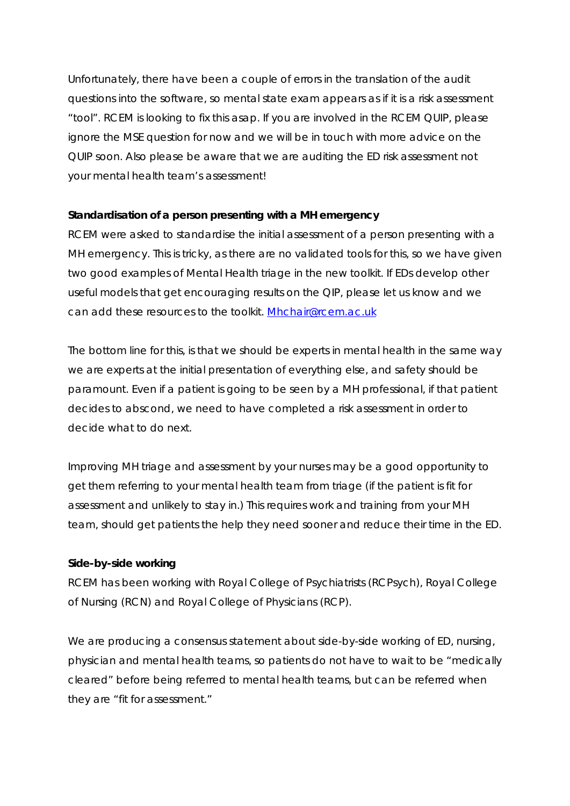Unfortunately, there have been a couple of errors in the translation of the audit questions into the software, so mental state exam appears as if it is a risk assessment "tool". RCEM is looking to fix this asap. If you are involved in the RCEM QUIP, please ignore the MSE question for now and we will be in touch with more advice on the QUIP soon. Also please be aware that we are auditing the ED risk assessment not your mental health team's assessment!

#### **Standardisation of a person presenting with a MH emergency**

RCEM were asked to standardise the initial assessment of a person presenting with a MH emergency. This is tricky, as there are no validated tools for this, so we have given two good examples of Mental Health triage in the new toolkit. If EDs develop other useful models that get encouraging results on the QIP, please let us know and we can add these resources to the toolkit. [Mhchair@rcem.ac.uk](mailto:Mhchair@rcem.ac.uk)

The bottom line for this, is that we should be experts in mental health in the same way we are experts at the initial presentation of everything else, and safety should be paramount. Even if a patient is going to be seen by a MH professional, if that patient decides to abscond, we need to have completed a risk assessment in order to decide what to do next.

Improving MH triage and assessment by your nurses may be a good opportunity to get them referring to your mental health team from triage (if the patient is fit for assessment and unlikely to stay in.) This requires work and training from your MH team, should get patients the help they need sooner and reduce their time in the ED.

#### **Side-by-side working**

RCEM has been working with Royal College of Psychiatrists (RCPsych), Royal College of Nursing (RCN) and Royal College of Physicians (RCP).

We are producing a consensus statement about side-by-side working of ED, nursing, physician and mental health teams, so patients do not have to wait to be "medically cleared" before being referred to mental health teams, but can be referred when they are "fit for assessment."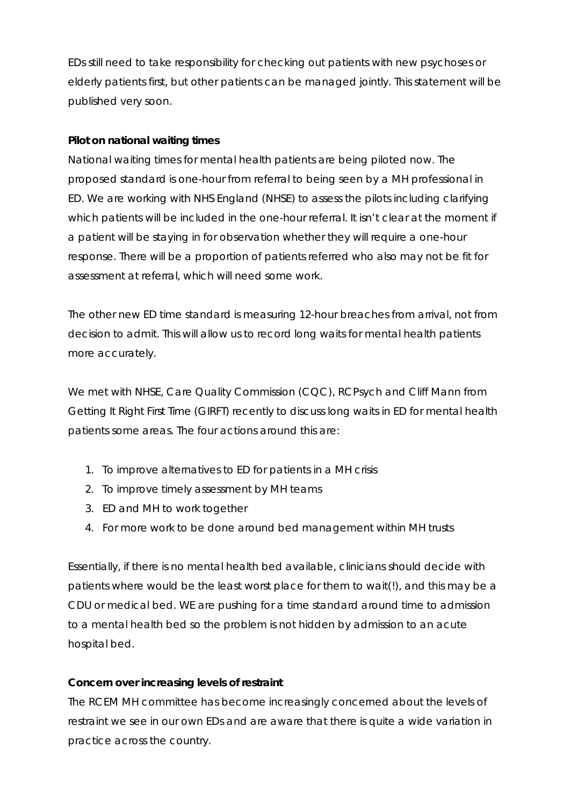EDs still need to take responsibility for checking out patients with new psychoses or elderly patients first, but other patients can be managed jointly. This statement will be published very soon.

#### **Pilot on national waiting times**

National waiting times for mental health patients are being piloted now. The proposed standard is one-hour from referral to being seen by a MH professional in ED. We are working with NHS England (NHSE) to assess the pilots including clarifying which patients will be included in the one-hour referral. It isn't clear at the moment if a patient will be staying in for observation whether they will require a one-hour response. There will be a proportion of patients referred who also may not be fit for assessment at referral, which will need some work.

The other new ED time standard is measuring 12-hour breaches from arrival, not from decision to admit. This will allow us to record long waits for mental health patients more accurately.

We met with NHSE, Care Quality Commission (CQC), RCPsych and Cliff Mann from Getting It Right First Time (GIRFT) recently to discuss long waits in ED for mental health patients some areas. The four actions around this are:

- 1. To improve alternatives to ED for patients in a MH crisis
- 2. To improve timely assessment by MH teams
- 3. ED and MH to work together
- 4. For more work to be done around bed management within MH trusts

Essentially, if there is no mental health bed available, clinicians should decide with patients where would be the least worst place for them to wait(!), and this may be a CDU or medical bed. WE are pushing for a time standard around time to admission to a mental health bed so the problem is not hidden by admission to an acute hospital bed.

## **Concern over increasing levels of restraint**

The RCEM MH committee has become increasingly concerned about the levels of restraint we see in our own EDs and are aware that there is quite a wide variation in practice across the country.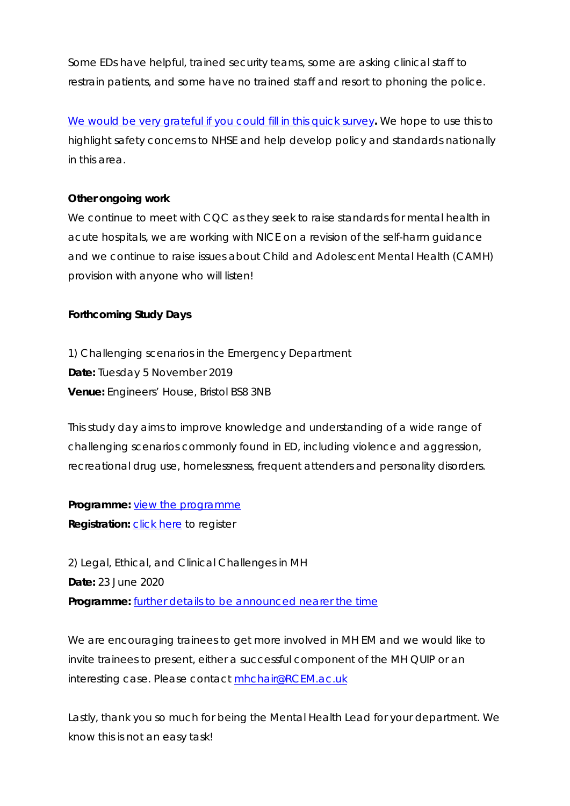Some EDs have helpful, trained security teams, some are asking clinical staff to restrain patients, and some have no trained staff and resort to phoning the police.

[We would be very grateful if you could fill in this quick survey](https://www.surveymonkey.co.uk/r/P2MMRTH)**.** We hope to use this to highlight safety concerns to NHSE and help develop policy and standards nationally in this area.

#### **Other ongoing work**

We continue to meet with CQC as they seek to raise standards for mental health in acute hospitals, we are working with NICE on a revision of the self-harm guidance and we continue to raise issues about Child and Adolescent Mental Health (CAMH) provision with anyone who will listen!

#### **Forthcoming Study Days**

1) Challenging scenarios in the Emergency Department **Date:** Tuesday 5 November 2019 **Venue:** Engineers' House, Bristol BS8 3NB

This study day aims to improve knowledge and understanding of a wide range of challenging scenarios commonly found in ED, including violence and aggression, recreational drug use, homelessness, frequent attenders and personality disorders.

**Programme:** [view the programme](https://www.rcem.ac.uk/docs/Study%20Days%20+%20Events/Challenging%20scenarios%20programme%20v2.pdf) **Registration:** [click here](https://www.rcem.ac.uk/RCEM/Event_Display.aspx?EventKey=SD191105&WebsiteKey=b3d6bb2a-abba-44ed-b758-467776a958cd) to register

2) Legal, Ethical, and Clinical Challenges in MH **Date:** 23 June 2020 **Programme:** [further details to be announced nearer the time](https://www.rcem.ac.uk/RCEM/Events/Study_Days_Events/RCEM/Conferences_Events/Study_Days_Events/Study_Days_Events.aspx?hkey=b5e48d82-520e-482c-9eb3-a70d9d1d21e8)

We are encouraging trainees to get more involved in MH EM and we would like to invite trainees to present, either a successful component of the MH QUIP or an interesting case. Please contact [mhchair@RCEM.ac.uk](mailto:mhchair@RCEM.ac.uk)

Lastly, thank you so much for being the Mental Health Lead for your department. We know this is not an easy task!